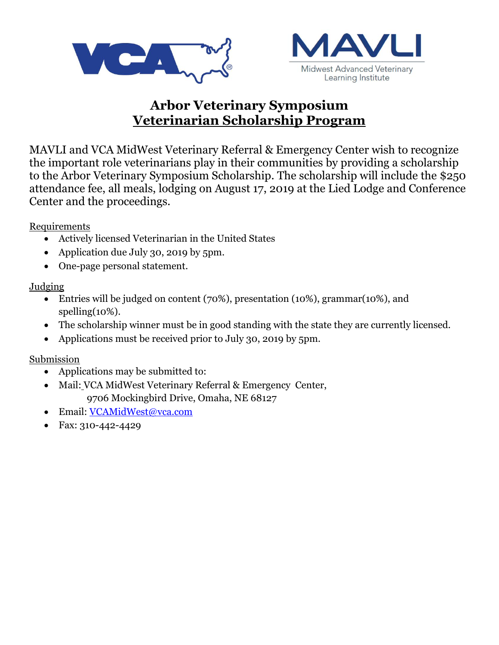



# **Arbor Veterinary Symposium Veterinarian Scholarship Program**

MAVLI and VCA MidWest Veterinary Referral & Emergency Center wish to recognize the important role veterinarians play in their communities by providing a scholarship to the Arbor Veterinary Symposium Scholarship. The scholarship will include the \$250 attendance fee, all meals, lodging on August 17, 2019 at the Lied Lodge and Conference Center and the proceedings.

Requirements

- Actively licensed Veterinarian in the United States
- Application due July 30, 2019 by 5pm.
- One-page personal statement.

## Judging

- Entries will be judged on content (70%), presentation (10%), grammar(10%), and spelling(10%).
- The scholarship winner must be in good standing with the state they are currently licensed.
- Applications must be received prior to July 30, 2019 by 5pm.

### Submission

- Applications may be submitted to:
- Mail: VCA MidWest Veterinary Referral & Emergency Center, 9706 Mockingbird Drive, Omaha, NE 68127
- Email: [VCAMidWest@vca.com](mailto:VCAMidWest@vca.com)
- Fax: 310-442-4429